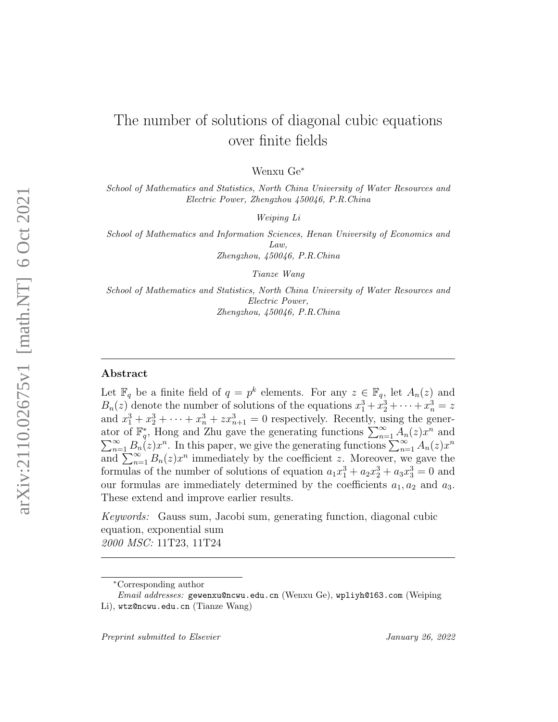# The number of solutions of diagonal cubic equations over finite fields

Wenxu Ge<sup>∗</sup>

School of Mathematics and Statistics, North China University of Water Resources and Electric Power, Zhengzhou 450046, P.R.China

Weiping Li

School of Mathematics and Information Sciences, Henan University of Economics and  $L$ *aw* Zhengzhou, 450046, P.R.China

Tianze Wang

School of Mathematics and Statistics, North China University of Water Resources and Electric Power, Zhengzhou, 450046, P.R.China

## Abstract

Let  $\mathbb{F}_q$  be a finite field of  $q = p^k$  elements. For any  $z \in \mathbb{F}_q$ , let  $A_n(z)$  and  $B_n(z)$  denote the number of solutions of the equations  $x_1^3 + x_2^3 + \cdots + x_n^3 = z$ and  $x_1^3 + x_2^3 + \cdots + x_n^3 + zx_{n+1}^3 = 0$  respectively. Recently, using the generator of  $\mathbb{F}_q^*$ , Hong and Zhu gave the generating functions  $\sum_{n=1}^{\infty} A_n(z) x^n$  $\sum$ or of  $\mathbb{F}_q^*$ , Hong and Zhu gave the generating functions  $\sum_{n=1}^{\infty} A_n(z)x^n$  and  $\sum_{n=1}^{\infty} B_n(z)x^n$ . In this paper, we give the generating functions  $\sum_{n=1}^{\infty} A_n(z)x^n$ and  $\sum_{n=1}^{\infty} B_n(z) x^n$  immediately by the coefficient z. Moreover, we gave the formulas of the number of solutions of equation  $a_1x_1^3 + a_2x_2^3 + a_3x_3^3 = 0$  and our formulas are immediately determined by the coefficients  $a_1, a_2$  and  $a_3$ . These extend and improve earlier results.

Keywords: Gauss sum, Jacobi sum, generating function, diagonal cubic equation, exponential sum 2000 MSC: 11T23, 11T24

<sup>∗</sup>Corresponding author

Email addresses: gewenxu@ncwu.edu.cn (Wenxu Ge), wpliyh@163.com (Weiping Li), wtz@ncwu.edu.cn (Tianze Wang)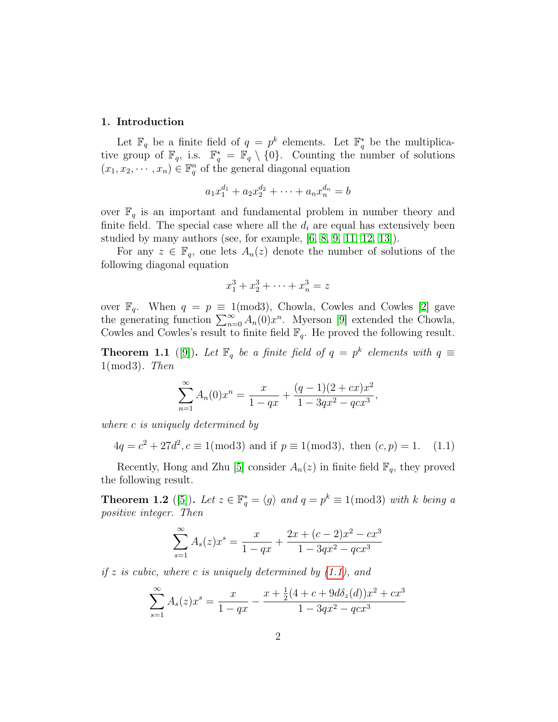#### 1. Introduction

Let  $\mathbb{F}_q$  be a finite field of  $q = p^k$  elements. Let  $\mathbb{F}_q^*$  be the multiplicative group of  $\mathbb{F}_q$ , i.s.  $\mathbb{F}_q^* = \mathbb{F}_q \setminus \{0\}$ . Counting the number of solutions  $(x_1, x_2, \dots, x_n) \in \mathbb{F}_q^n$  of the general diagonal equation

$$
a_1x_1^{d_1} + a_2x_2^{d_2} + \cdots + a_nx_n^{d_n} = b
$$

over  $\mathbb{F}_q$  is an important and fundamental problem in number theory and finite field. The special case where all the  $d_i$  are equal has extensively been studied by many authors (see, for example, [\[6,](#page-17-0) [8,](#page-17-1) [9,](#page-17-2) [11,](#page-17-3) [12,](#page-17-4) [13\]](#page-17-5)).

For any  $z \in \mathbb{F}_q$ , one lets  $A_n(z)$  denote the number of solutions of the following diagonal equation

<span id="page-1-0"></span>
$$
x_1^3 + x_2^3 + \dots + x_n^3 = z
$$

over  $\mathbb{F}_q$ . When  $q = p \equiv 1 \pmod{3}$ , Chowla, Cowles and Cowles [\[2\]](#page-16-0) gave the generating function  $\sum_{n=0}^{\infty} A_n(0)x^n$ . Myerson [\[9\]](#page-17-2) extended the Chowla, Cowles and Cowles's result to finite field  $\mathbb{F}_q$ . He proved the following result.

**Theorem 1.1** ([\[9\]](#page-17-2)). Let  $\mathbb{F}_q$  be a finite field of  $q = p^k$  elements with  $q \equiv$  $1 \pmod{3}$ . Then

$$
\sum_{n=1}^{\infty} A_n(0)x^n = \frac{x}{1-qx} + \frac{(q-1)(2+cx)x^2}{1-3qx^2-qcx^3},
$$

where c is uniquely determined by

$$
4q = c^2 + 27d^2, c \equiv 1 \pmod{3}
$$
 and if  $p \equiv 1 \pmod{3}$ , then  $(c, p) = 1$ . (1.1)

Recently, Hong and Zhu [\[5\]](#page-17-6) consider  $A_n(z)$  in finite field  $\mathbb{F}_q$ , they proved the following result.

**Theorem 1.2** ([\[5\]](#page-17-6)). Let  $z \in \mathbb{F}_q^* = \langle g \rangle$  and  $q = p^k \equiv 1 \pmod{3}$  with k being a positive integer. Then

$$
\sum_{s=1}^{\infty} A_s(z)x^s = \frac{x}{1-qx} + \frac{2x + (c-2)x^2 - cx^3}{1 - 3qx^2 - qcx^3}
$$

if z is cubic, where c is uniquely determined by  $(1.1)$ , and

$$
\sum_{s=1}^{\infty} A_s(z)x^s = \frac{x}{1-qx} - \frac{x + \frac{1}{2}(4+c+9d\delta_z(d))x^2 + cx^3}{1-3qx^2-qcx^3}
$$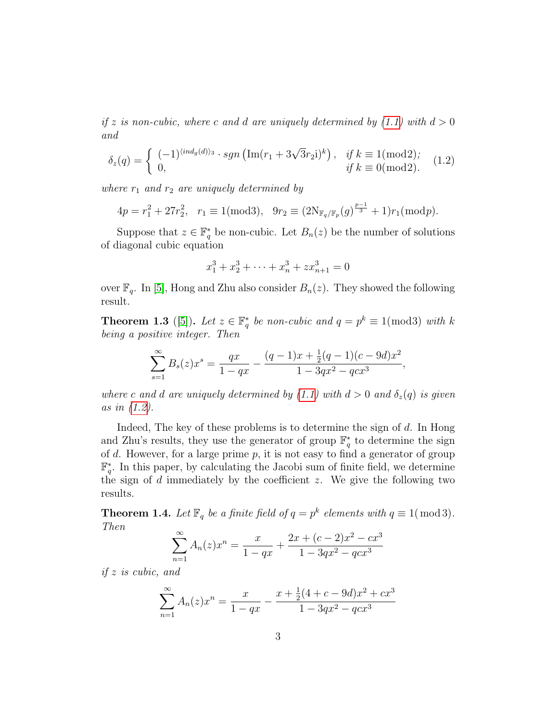if z is non-cubic, where c and d are uniquely determined by  $(1.1)$  with  $d > 0$ and

$$
\delta_z(q) = \begin{cases}\n(-1)^{\langle ind_g(d) \rangle_3} \cdot sgn\left(\text{Im}(r_1 + 3\sqrt{3}r_2 i)^k\right), & \text{if } k \equiv 1 \text{(mod2)}; \\
0, & \text{if } k \equiv 0 \text{(mod2)}.\n\end{cases}
$$
\n(1.2)

where  $r_1$  and  $r_2$  are uniquely determined by

$$
4p = r_1^2 + 27r_2^2, \quad r_1 \equiv 1 \pmod{3}, \quad 9r_2 \equiv (2N_{\mathbb{F}_q/\mathbb{F}_p}(g)^{\frac{p-1}{3}} + 1)r_1 \pmod{p}.
$$

Suppose that  $z \in \mathbb{F}_q^*$  be non-cubic. Let  $B_n(z)$  be the number of solutions of diagonal cubic equation

<span id="page-2-0"></span>
$$
x_1^3 + x_2^3 + \dots + x_n^3 + zx_{n+1}^3 = 0
$$

over  $\mathbb{F}_q$ . In [\[5\]](#page-17-6), Hong and Zhu also consider  $B_n(z)$ . They showed the following result.

**Theorem 1.3** ([\[5\]](#page-17-6)). Let  $z \in \mathbb{F}_q^*$  be non-cubic and  $q = p^k \equiv 1 \pmod{3}$  with k being a positive integer. Then

$$
\sum_{s=1}^{\infty} B_s(z)x^s = \frac{qx}{1-qx} - \frac{(q-1)x + \frac{1}{2}(q-1)(c-9d)x^2}{1-3qx^2-qcx^3},
$$

where c and d are uniquely determined by [\(1.1\)](#page-1-0) with  $d > 0$  and  $\delta_z(q)$  is given as in [\(1.2\)](#page-2-0).

Indeed, The key of these problems is to determine the sign of  $d$ . In Hong and Zhu's results, they use the generator of group  $\mathbb{F}_q^*$  to determine the sign of  $d$ . However, for a large prime  $p$ , it is not easy to find a generator of group  $\mathbb{F}_q^*$ . In this paper, by calculating the Jacobi sum of finite field, we determine the sign of  $d$  immediately by the coefficient  $z$ . We give the following two results.

**Theorem 1.4.** Let  $\mathbb{F}_q$  be a finite field of  $q = p^k$  elements with  $q \equiv 1 \pmod{3}$ . Then

$$
\sum_{n=1}^{\infty} A_n(z)x^n = \frac{x}{1-qx} + \frac{2x + (c-2)x^2 - cx^3}{1 - 3qx^2 - qcx^3}
$$

if z is cubic, and

$$
\sum_{n=1}^{\infty} A_n(z)x^n = \frac{x}{1-qx} - \frac{x + \frac{1}{2}(4+c-9d)x^2 + cx^3}{1-3qx^2-qcx^3}
$$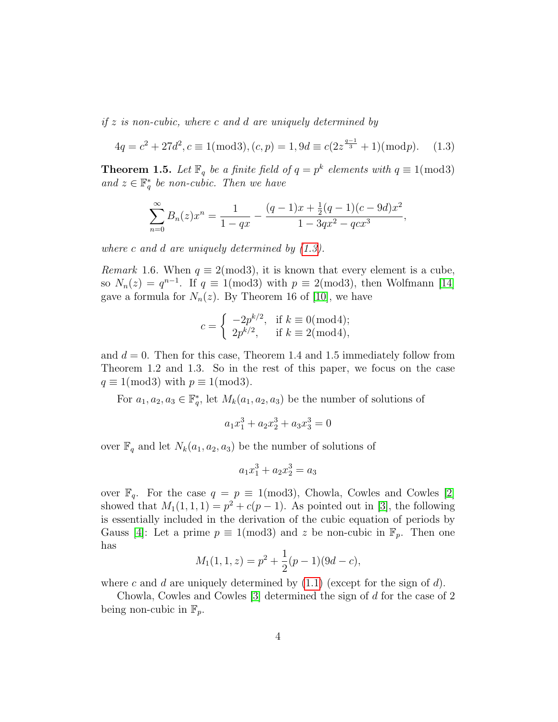if  $z$  is non-cubic, where c and d are uniquely determined by

$$
4q = c2 + 27d2, c \equiv 1(\text{mod}3), (c, p) = 1, 9d \equiv c(2z^{\frac{q-1}{3}} + 1)(\text{mod}p). \tag{1.3}
$$

**Theorem 1.5.** Let  $\mathbb{F}_q$  be a finite field of  $q = p^k$  elements with  $q \equiv 1 \pmod{3}$ and  $z \in \mathbb{F}_q^*$  be non-cubic. Then we have

<span id="page-3-0"></span>
$$
\sum_{n=0}^{\infty} B_n(z)x^n = \frac{1}{1-qx} - \frac{(q-1)x + \frac{1}{2}(q-1)(c-9d)x^2}{1-3qx^2-qcx^3},
$$

where c and d are uniquely determined by [\(1.3\)](#page-3-0).

*Remark* 1.6. When  $q \equiv 2 \pmod{3}$ , it is known that every element is a cube, so  $N_n(z) = q^{n-1}$ . If  $q \equiv 1 \pmod{3}$  with  $p \equiv 2 \pmod{3}$ , then Wolfmann [\[14\]](#page-17-7) gave a formula for  $N_n(z)$ . By Theorem 16 of [\[10\]](#page-17-8), we have

$$
c = \begin{cases} -2p^{k/2}, & \text{if } k \equiv 0 \pmod{4}; \\ 2p^{k/2}, & \text{if } k \equiv 2 \pmod{4}, \end{cases}
$$

and  $d = 0$ . Then for this case, Theorem 1.4 and 1.5 immediately follow from Theorem 1.2 and 1.3. So in the rest of this paper, we focus on the case  $q \equiv 1 \pmod{3}$  with  $p \equiv 1 \pmod{3}$ .

For  $a_1, a_2, a_3 \in \mathbb{F}_q^*$ , let  $M_k(a_1, a_2, a_3)$  be the number of solutions of

$$
a_1x_1^3 + a_2x_2^3 + a_3x_3^3 = 0
$$

over  $\mathbb{F}_q$  and let  $N_k(a_1, a_2, a_3)$  be the number of solutions of

$$
a_1 x_1^3 + a_2 x_2^3 = a_3
$$

over  $\mathbb{F}_q$ . For the case  $q = p \equiv 1 \pmod{3}$ , Chowla, Cowles and Cowles [\[2\]](#page-16-0) showed that  $M_1(1,1,1) = p^2 + c(p-1)$ . As pointed out in [\[3\]](#page-16-1), the following is essentially included in the derivation of the cubic equation of periods by Gauss [\[4\]](#page-16-2): Let a prime  $p \equiv 1 \pmod{3}$  and z be non-cubic in  $\mathbb{F}_p$ . Then one has

$$
M_1(1,1,z) = p^2 + \frac{1}{2}(p-1)(9d-c),
$$

where c and d are uniquely determined by  $(1.1)$  (except for the sign of d).

Chowla, Cowles and Cowles [\[3\]](#page-16-1) determined the sign of d for the case of 2 being non-cubic in  $\mathbb{F}_p$ .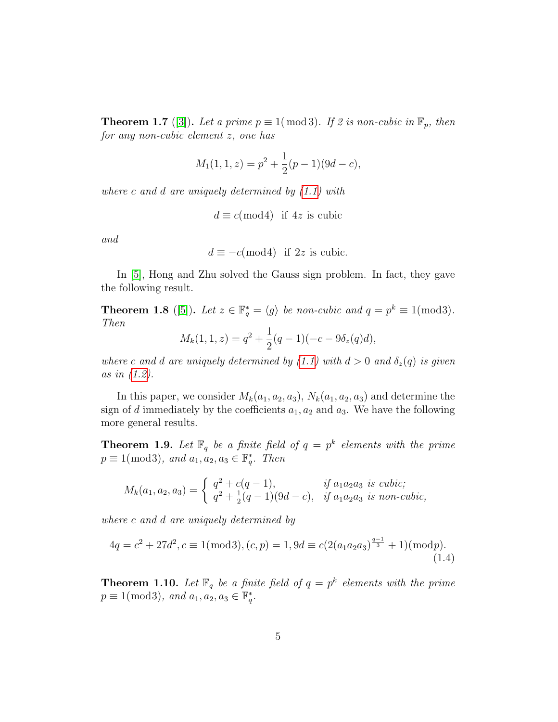**Theorem 1.7** ([\[3\]](#page-16-1)). Let a prime  $p \equiv 1 \pmod{3}$ . If 2 is non-cubic in  $\mathbb{F}_p$ , then for any non-cubic element z, one has

$$
M_1(1,1,z) = p^2 + \frac{1}{2}(p-1)(9d-c),
$$

where c and d are uniquely determined by  $(1.1)$  with

$$
d \equiv c \pmod{4}
$$
 if 4z is cubic

and

$$
d \equiv -c \pmod{4} \quad \text{if } 2z \text{ is cubic.}
$$

In [\[5\]](#page-17-6), Hong and Zhu solved the Gauss sign problem. In fact, they gave the following result.

**Theorem 1.8** ([\[5\]](#page-17-6)). Let  $z \in \mathbb{F}_q^* = \langle g \rangle$  be non-cubic and  $q = p^k \equiv 1 \pmod{3}$ . Then

$$
M_k(1,1,z) = q^2 + \frac{1}{2}(q-1)(-c - 9\delta_z(q)d),
$$

where c and d are uniquely determined by [\(1.1\)](#page-1-0) with  $d > 0$  and  $\delta_z(q)$  is given as in [\(1.2\)](#page-2-0).

In this paper, we consider  $M_k(a_1, a_2, a_3)$ ,  $N_k(a_1, a_2, a_3)$  and determine the sign of d immediately by the coefficients  $a_1, a_2$  and  $a_3$ . We have the following more general results.

**Theorem 1.9.** Let  $\mathbb{F}_q$  be a finite field of  $q = p^k$  elements with the prime  $p \equiv 1 \pmod{3}$ , and  $a_1, a_2, a_3 \in \mathbb{F}_q^*$ . Then

<span id="page-4-0"></span>
$$
M_k(a_1, a_2, a_3) = \begin{cases} q^2 + c(q - 1), & \text{if } a_1 a_2 a_3 \text{ is cubic;} \\ q^2 + \frac{1}{2}(q - 1)(9d - c), & \text{if } a_1 a_2 a_3 \text{ is non-cubic,} \end{cases}
$$

where c and d are uniquely determined by

$$
4q = c2 + 27d2, c \equiv 1(\text{mod}3), (c, p) = 1, 9d \equiv c(2(a_1a_2a_3)^{\frac{q-1}{3}} + 1)(\text{mod}p).
$$
\n(1.4)

**Theorem 1.10.** Let  $\mathbb{F}_q$  be a finite field of  $q = p^k$  elements with the prime  $p \equiv 1 \pmod{3}$ , and  $a_1, a_2, a_3 \in \mathbb{F}_q^*$ .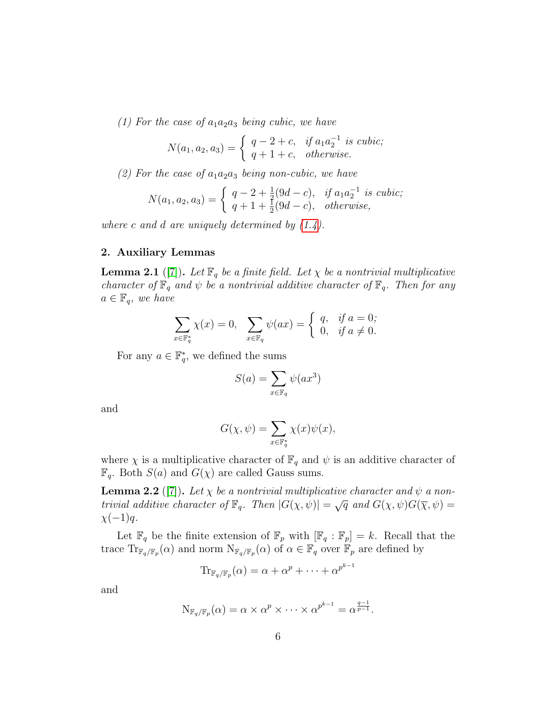(1) For the case of  $a_1a_2a_3$  being cubic, we have

$$
N(a_1, a_2, a_3) = \begin{cases} q-2+c, & \text{if } a_1 a_2^{-1} \text{ is cubic;} \\ q+1+c, & \text{otherwise.} \end{cases}
$$

(2) For the case of  $a_1a_2a_3$  being non-cubic, we have

$$
N(a_1, a_2, a_3) = \begin{cases} q - 2 + \frac{1}{2}(9d - c), & \text{if } a_1 a_2^{-1} \text{ is cubic;} \\ q + 1 + \frac{1}{2}(9d - c), & \text{otherwise,} \end{cases}
$$

where c and d are uniquely determined by  $(1.4)$ .

### 2. Auxiliary Lemmas

**Lemma 2.1** ([\[7\]](#page-17-9)). Let  $\mathbb{F}_q$  be a finite field. Let  $\chi$  be a nontrivial multiplicative character of  $\mathbb{F}_q$  and  $\psi$  be a nontrivial additive character of  $\mathbb{F}_q$ . Then for any  $a \in \mathbb{F}_q$ , we have

$$
\sum_{x \in \mathbb{F}_q^*} \chi(x) = 0, \quad \sum_{x \in \mathbb{F}_q} \psi(ax) = \begin{cases} q, & \text{if } a = 0; \\ 0, & \text{if } a \neq 0. \end{cases}
$$

For any  $a \in \mathbb{F}_q^*$ , we defined the sums

$$
S(a) = \sum_{x \in \mathbb{F}_q} \psi(ax^3)
$$

and

$$
G(\chi, \psi) = \sum_{x \in \mathbb{F}_q^*} \chi(x)\psi(x),
$$

where  $\chi$  is a multiplicative character of  $\mathbb{F}_q$  and  $\psi$  is an additive character of  $\mathbb{F}_q$ . Both  $S(a)$  and  $G(\chi)$  are called Gauss sums.

**Lemma 2.2** ([\[7\]](#page-17-9)). Let  $\chi$  be a nontrivial multiplicative character and  $\psi$  a non-**EXECUTE:**  $\sum_{i=1}^{n} \sum_{j=1}^{n} \sum_{j=1}^{n} \sum_{j=1}^{n} \sum_{j=1}^{n} \sum_{j=1}^{n} \sum_{j=1}^{n} \sum_{j=1}^{n} \sum_{j=1}^{n} \sum_{j=1}^{n} \sum_{j=1}^{n} \sum_{j=1}^{n} \sum_{j=1}^{n} \sum_{j=1}^{n} \sum_{j=1}^{n} \sum_{j=1}^{n} \sum_{j=1}^{n} \sum_{j=1}^{n} \sum_{j=1}^{n} \sum_{j=1}^{n} \sum_{j=1}^{$  $\chi(-1)q$ .

Let  $\mathbb{F}_q$  be the finite extension of  $\mathbb{F}_p$  with  $[\mathbb{F}_q : \mathbb{F}_p] = k$ . Recall that the trace  $\text{Tr}_{\mathbb{F}_q/\mathbb{F}_p}(\alpha)$  and norm  $\text{N}_{\mathbb{F}_q/\mathbb{F}_p}(\alpha)$  of  $\alpha \in \mathbb{F}_q$  over  $\mathbb{F}_p$  are defined by

$$
\mathrm{Tr}_{\mathbb{F}_q/\mathbb{F}_p}(\alpha) = \alpha + \alpha^p + \dots + \alpha^{p^{k-1}}
$$

and

$$
N_{\mathbb{F}_q/\mathbb{F}_p}(\alpha) = \alpha \times \alpha^p \times \cdots \times \alpha^{p^{k-1}} = \alpha^{\frac{q-1}{p-1}}.
$$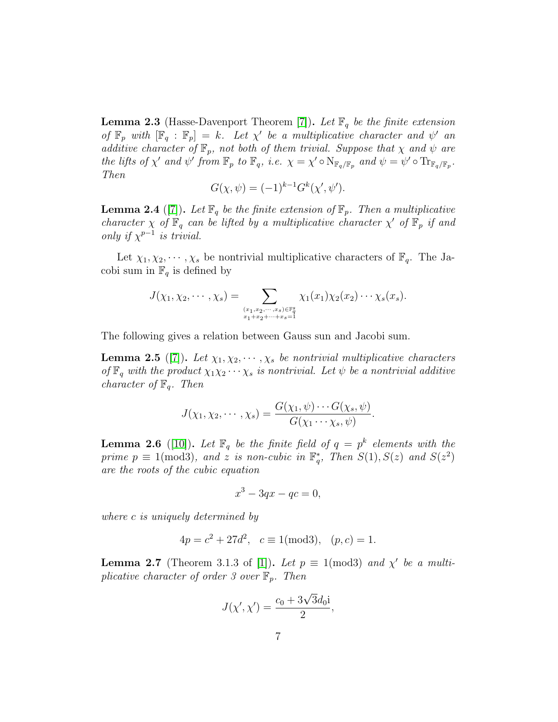**Lemma 2.3** (Hasse-Davenport Theorem [\[7\]](#page-17-9)). Let  $\mathbb{F}_q$  be the finite extension of  $\mathbb{F}_p$  with  $[\mathbb{F}_q : \mathbb{F}_p] = k$ . Let  $\chi'$  be a multiplicative character and  $\psi'$  and additive character of  $\mathbb{F}_p$ , not both of them trivial. Suppose that  $\chi$  and  $\psi$  are the lifts of  $\chi'$  and  $\psi'$  from  $\mathbb{F}_p$  to  $\mathbb{F}_q$ , i.e.  $\chi = \chi' \circ \mathrm{N}_{\mathbb{F}_q/\mathbb{F}_p}$  and  $\psi = \psi' \circ \mathrm{Tr}_{\mathbb{F}_q/\mathbb{F}_p}$ . Then

$$
G(\chi, \psi) = (-1)^{k-1} G^{k}(\chi', \psi').
$$

**Lemma 2.4** ([\[7\]](#page-17-9)). Let  $\mathbb{F}_q$  be the finite extension of  $\mathbb{F}_p$ . Then a multiplicative character  $\chi$  of  $\mathbb{F}_q$  can be lifted by a multiplicative character  $\chi'$  of  $\mathbb{F}_p$  if and only if  $\chi^{p-1}$  is trivial.

Let  $\chi_1, \chi_2, \cdots, \chi_s$  be nontrivial multiplicative characters of  $\mathbb{F}_q$ . The Jacobi sum in  $\mathbb{F}_q$  is defined by

$$
J(\chi_1,\chi_2,\cdots,\chi_s)=\sum_{(x_1,x_2,\cdots,x_s)\in \mathbb{F}_q^s\atop x_1+x_2+\cdots+x_s=1}\chi_1(x_1)\chi_2(x_2)\cdots\chi_s(x_s).
$$

The following gives a relation between Gauss sun and Jacobi sum.

**Lemma 2.5** ([\[7\]](#page-17-9)). Let  $\chi_1, \chi_2, \cdots, \chi_s$  be nontrivial multiplicative characters of  $\mathbb{F}_q$  with the product  $\chi_1\chi_2\cdots\chi_s$  is nontrivial. Let  $\psi$  be a nontrivial additive character of  $\mathbb{F}_q$ . Then

$$
J(\chi_1, \chi_2, \cdots, \chi_s) = \frac{G(\chi_1, \psi) \cdots G(\chi_s, \psi)}{G(\chi_1 \cdots \chi_s, \psi)}.
$$

**Lemma 2.6** ([\[10\]](#page-17-8)). Let  $\mathbb{F}_q$  be the finite field of  $q = p^k$  elements with the prime  $p \equiv 1 \pmod{3}$ , and z is non-cubic in  $\mathbb{F}_q^*$ , Then  $S(1), S(z)$  and  $S(z^2)$ are the roots of the cubic equation

$$
x^3 - 3qx - qc = 0,
$$

where c is uniquely determined by

$$
4p = c^2 + 27d^2
$$
,  $c \equiv 1 \pmod{3}$ ,  $(p, c) = 1$ .

**Lemma 2.7** (Theorem 3.1.3 of [\[1\]](#page-16-3)). Let  $p \equiv 1 \pmod{3}$  and  $\chi'$  be a multiplicative character of order 3 over  $\mathbb{F}_p$ . Then

$$
J(\chi',\chi') = \frac{c_0 + 3\sqrt{3}d_0i}{2},
$$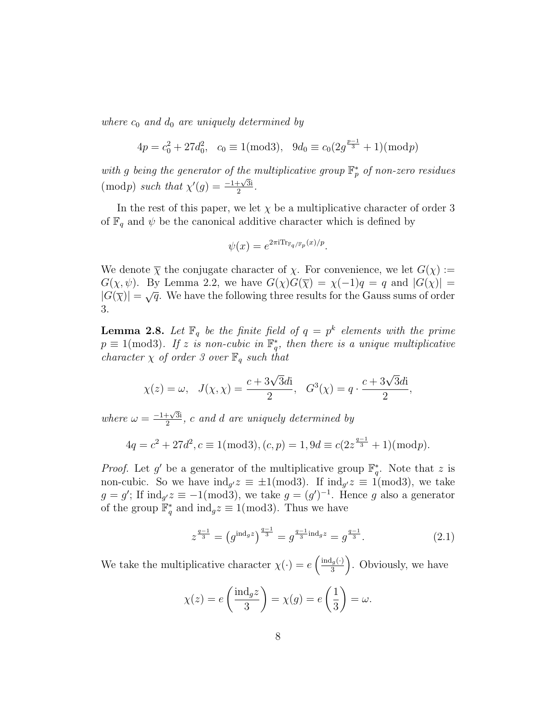where  $c_0$  and  $d_0$  are uniquely determined by

$$
4p = c_0^2 + 27d_0^2, \quad c_0 \equiv 1 \pmod{3}, \quad 9d_0 \equiv c_0(2g^{\frac{p-1}{3}} + 1) \pmod{p}
$$

with g being the generator of the multiplicative group  $\mathbb{F}_p^*$  of non-zero residues  $(\bmod p)$  such that  $\chi'(g) = \frac{-1+\sqrt{3}i}{2}$  $\frac{+\sqrt{3}i}{2}$ .

In the rest of this paper, we let  $\chi$  be a multiplicative character of order 3 of  $\mathbb{F}_q$  and  $\psi$  be the canonical additive character which is defined by

$$
\psi(x) = e^{2\pi i \text{Tr}_{\mathbb{F}_q/\mathbb{F}_p}(x)/p}.
$$

We denote  $\overline{\chi}$  the conjugate character of  $\chi$ . For convenience, we let  $G(\chi) :=$  $G(\chi, \psi)$ . By Lemma 2.2, we have  $G(\chi)G(\overline{\chi}) = \chi(-1)q = q$  and  $|G(\chi)| =$  $|G(\overline{\chi})| = \sqrt{q}$ . We have the following three results for the Gauss sums of order 3.

**Lemma 2.8.** Let  $\mathbb{F}_q$  be the finite field of  $q = p^k$  elements with the prime  $p \equiv 1 \pmod{3}$ . If z is non-cubic in  $\mathbb{F}_q^*$ , then there is a unique multiplicative character  $\chi$  of order 3 over  $\mathbb{F}_q$  such that

$$
\chi(z) = \omega, \quad J(\chi, \chi) = \frac{c + 3\sqrt{3}d\mathbf{i}}{2}, \quad G^3(\chi) = q \cdot \frac{c + 3\sqrt{3}d\mathbf{i}}{2},
$$

where  $\omega = \frac{-1 + \sqrt{3}i}{2}$  $\frac{1+\sqrt{31}}{2}$ , c and d are uniquely determined by

$$
4q = c2 + 27d2, c \equiv 1(\text{mod}3), (c, p) = 1, 9d \equiv c(2z^{\frac{q-1}{3}} + 1)(\text{mod}p).
$$

*Proof.* Let g' be a generator of the multiplicative group  $\mathbb{F}_q^*$ . Note that z is non-cubic. So we have  $\text{ind}_{g'}z \equiv \pm 1 \pmod{3}$ . If  $\text{ind}_{g'}z \equiv 1 \pmod{3}$ , we take  $g = g'$ ; If  $\text{ind}_{g'} z \equiv -1 \pmod{3}$ , we take  $g = (g')^{-1}$ . Hence g also a generator of the group  $\mathbb{F}_q^*$  and  $\text{ind}_g z \equiv 1 \pmod{3}$ . Thus we have

<span id="page-7-0"></span>
$$
z^{\frac{q-1}{3}} = (g^{\text{ind}_g z})^{\frac{q-1}{3}} = g^{\frac{q-1}{3} \text{ind}_g z} = g^{\frac{q-1}{3}}.
$$
 (2.1)

We take the multiplicative character  $\chi(\cdot) = e \left( \frac{\text{ind}_g(\cdot)}{3} \right)$  $\left(\frac{a}{3}(\cdot)\right)$ . Obviously, we have

$$
\chi(z) = e\left(\frac{\text{ind}_g z}{3}\right) = \chi(g) = e\left(\frac{1}{3}\right) = \omega.
$$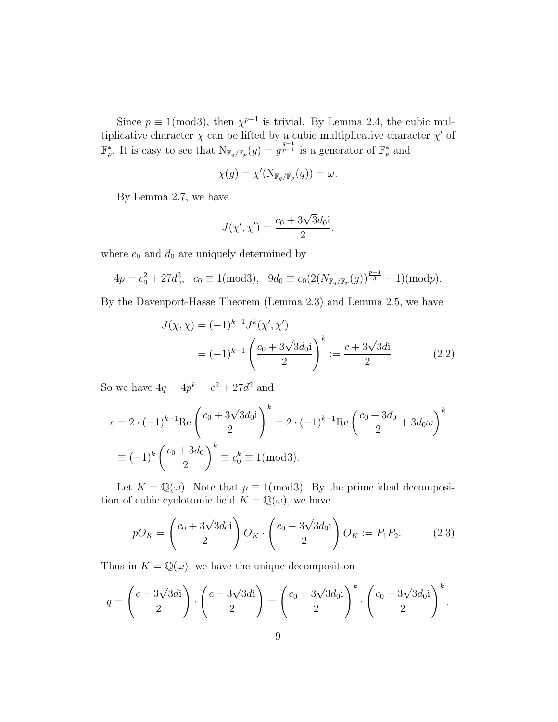Since  $p \equiv 1 \pmod{3}$ , then  $\chi^{p-1}$  is trivial. By Lemma 2.4, the cubic multiplicative character  $\chi$  can be lifted by a cubic multiplicative character  $\chi'$  of  $\mathbb{F}_p^*$ . It is easy to see that  $N_{\mathbb{F}_q/\mathbb{F}_p}(g) = g^{\frac{q-1}{p-1}}$  is a generator of  $\mathbb{F}_p^*$  and

$$
\chi(g) = \chi'(\mathrm{N}_{\mathbb{F}_q/\mathbb{F}_p}(g)) = \omega.
$$

By Lemma 2.7, we have

<span id="page-8-0"></span>
$$
J(\chi',\chi') = \frac{c_0 + 3\sqrt{3}d_0i}{2},
$$

where  $c_0$  and  $d_0$  are uniquely determined by

$$
4p = c_0^2 + 27d_0^2, \quad c_0 \equiv 1 \pmod{3}, \quad 9d_0 \equiv c_0 \left( 2(N_{\mathbb{F}_q/\mathbb{F}_p}(g))^\frac{p-1}{3} + 1 \right) \pmod{p}.
$$

By the Davenport-Hasse Theorem (Lemma 2.3) and Lemma 2.5, we have

$$
J(\chi, \chi) = (-1)^{k-1} J^k(\chi', \chi')
$$
  
=  $(-1)^{k-1} \left( \frac{c_0 + 3\sqrt{3}d_0 i}{2} \right)^k := \frac{c + 3\sqrt{3}di}{2}.$  (2.2)

So we have  $4q = 4p^k = c^2 + 27d^2$  and

$$
c = 2 \cdot (-1)^{k-1} \text{Re} \left( \frac{c_0 + 3\sqrt{3}d_0 i}{2} \right)^k = 2 \cdot (-1)^{k-1} \text{Re} \left( \frac{c_0 + 3d_0}{2} + 3d_0 \omega \right)^k
$$
  

$$
\equiv (-1)^k \left( \frac{c_0 + 3d_0}{2} \right)^k \equiv c_0^k \equiv 1 \pmod{3}.
$$

Let  $K = \mathbb{Q}(\omega)$ . Note that  $p \equiv 1 \pmod{3}$ . By the prime ideal decomposition of cubic cyclotomic field  $K = \mathbb{Q}(\omega)$ , we have

<span id="page-8-1"></span>
$$
pO_K = \left(\frac{c_0 + 3\sqrt{3}d_0i}{2}\right)O_K \cdot \left(\frac{c_0 - 3\sqrt{3}d_0i}{2}\right)O_K := P_1P_2. \tag{2.3}
$$

Thus in  $K = \mathbb{Q}(\omega)$ , we have the unique decomposition

$$
q = \left(\frac{c + 3\sqrt{3}d\mathbf{i}}{2}\right) \cdot \left(\frac{c - 3\sqrt{3}d\mathbf{i}}{2}\right) = \left(\frac{c_0 + 3\sqrt{3}d_0\mathbf{i}}{2}\right)^k \cdot \left(\frac{c_0 - 3\sqrt{3}d_0\mathbf{i}}{2}\right)^k.
$$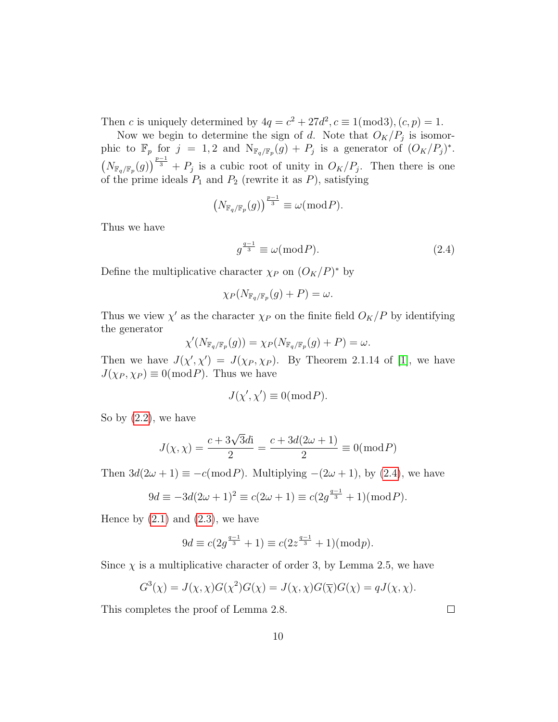Then c is uniquely determined by  $4q = c^2 + 27d^2, c \equiv 1 \pmod{3}, (c, p) = 1.$ 

Now we begin to determine the sign of d. Note that  $O_K/P_j$  is isomorphic to  $\mathbb{F}_p$  for  $j = 1, 2$  and  $N_{\mathbb{F}_q/\mathbb{F}_p}(g) + P_j$  is a generator of  $(O_K/P_j)^*$ .  $\left(N_{\mathbb{F}_q/\mathbb{F}_p}(g)\right)^{\frac{p-1}{3}}+P_j$  is a cubic root of unity in  $O_K/P_j$ . Then there is one of the prime ideals  $P_1$  and  $P_2$  (rewrite it as P), satisfying

$$
\left(N_{\mathbb{F}_q/\mathbb{F}_p}(g)\right)^{\frac{p-1}{3}} \equiv \omega(\bmod P).
$$

Thus we have

<span id="page-9-0"></span>
$$
g^{\frac{q-1}{3}} \equiv \omega(\bmod P). \tag{2.4}
$$

Define the multiplicative character  $\chi_P$  on  $(O_K/P)^*$  by

$$
\chi_P(N_{\mathbb{F}_q/\mathbb{F}_p}(g) + P) = \omega.
$$

Thus we view  $\chi'$  as the character  $\chi_P$  on the finite field  $O_K/P$  by identifying the generator

$$
\chi'(N_{{\mathbb F}_q/{\mathbb F}_p}(g))=\chi_P(N_{{\mathbb F}_q/{\mathbb F}_p}(g)+P)=\omega.
$$

Then we have  $J(\chi', \chi') = J(\chi_P, \chi_P)$ . By Theorem 2.1.14 of [\[1\]](#page-16-3), we have  $J(\chi_P, \chi_P) \equiv 0 \pmod{P}$ . Thus we have

$$
J(\chi',\chi')\equiv 0(\bmod P).
$$

So by  $(2.2)$ , we have

$$
J(\chi, \chi) = \frac{c + 3\sqrt{3}d\mathbf{i}}{2} = \frac{c + 3d(2\omega + 1)}{2} \equiv 0(\text{mod } P)
$$

Then  $3d(2\omega + 1) \equiv -c(\text{mod } P)$ . Multiplying  $-(2\omega + 1)$ , by [\(2.4\)](#page-9-0), we have

$$
9d \equiv -3d(2\omega + 1)^2 \equiv c(2\omega + 1) \equiv c(2g^{\frac{q-1}{3}} + 1)(\text{mod } P).
$$

Hence by  $(2.1)$  and  $(2.3)$ , we have

$$
9d \equiv c(2g^{\frac{q-1}{3}} + 1) \equiv c(2z^{\frac{q-1}{3}} + 1) \pmod{p}.
$$

Since  $\chi$  is a multiplicative character of order 3, by Lemma 2.5, we have

$$
G^{3}(\chi) = J(\chi, \chi)G(\chi^{2})G(\chi) = J(\chi, \chi)G(\overline{\chi})G(\chi) = qJ(\chi, \chi).
$$

This completes the proof of Lemma 2.8.

 $\Box$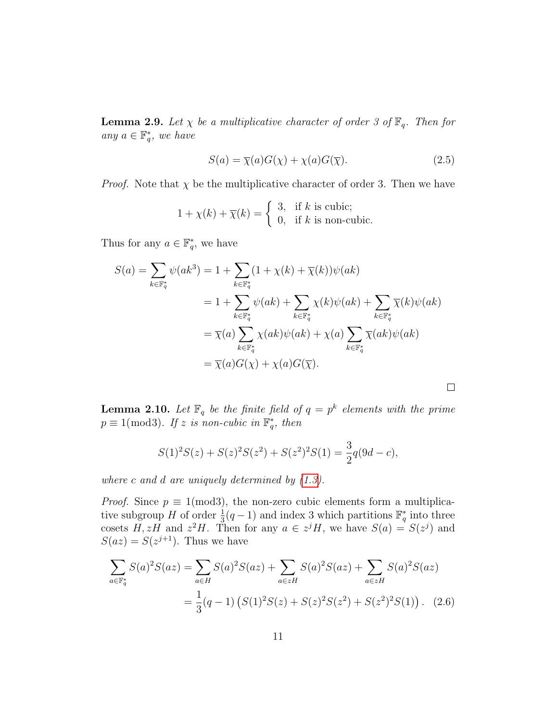**Lemma 2.9.** Let  $\chi$  be a multiplicative character of order 3 of  $\mathbb{F}_q$ . Then for any  $a \in \mathbb{F}_q^*$ , we have

$$
S(a) = \overline{\chi}(a)G(\chi) + \chi(a)G(\overline{\chi}).
$$
\n(2.5)

<span id="page-10-0"></span> $\Box$ 

*Proof.* Note that  $\chi$  be the multiplicative character of order 3. Then we have

$$
1 + \chi(k) + \overline{\chi}(k) = \begin{cases} 3, & \text{if } k \text{ is cubic;} \\ 0, & \text{if } k \text{ is non-cubic.} \end{cases}
$$

Thus for any  $a \in \mathbb{F}_q^*$ , we have

$$
S(a) = \sum_{k \in \mathbb{F}_q^*} \psi(ak^3) = 1 + \sum_{k \in \mathbb{F}_q^*} (1 + \chi(k) + \overline{\chi}(k))\psi(ak)
$$
  

$$
= 1 + \sum_{k \in \mathbb{F}_q^*} \psi(ak) + \sum_{k \in \mathbb{F}_q^*} \chi(k)\psi(ak) + \sum_{k \in \mathbb{F}_q^*} \overline{\chi}(k)\psi(ak)
$$
  

$$
= \overline{\chi}(a) \sum_{k \in \mathbb{F}_q^*} \chi(ak)\psi(ak) + \chi(a) \sum_{k \in \mathbb{F}_q^*} \overline{\chi}(ak)\psi(ak)
$$
  

$$
= \overline{\chi}(a)G(\chi) + \chi(a)G(\overline{\chi}).
$$

**Lemma 2.10.** Let  $\mathbb{F}_q$  be the finite field of  $q = p^k$  elements with the prime  $p \equiv 1 \pmod{3}$ . If z is non-cubic in  $\mathbb{F}_q^*$ , then

$$
S(1)2S(z) + S(z)2S(z2) + S(z2)2S(1) = \frac{3}{2}q(9d - c),
$$

where c and d are uniquely determined by  $(1.3)$ .

*Proof.* Since  $p \equiv 1 \pmod{3}$ , the non-zero cubic elements form a multiplicative subgroup H of order  $\frac{1}{3}(q-1)$  and index 3 which partitions  $\mathbb{F}_q^*$  into three cosets H, zH and  $z^2H$ . Then for any  $a \in z^jH$ , we have  $S(a) = S(z^j)$  and  $S(az) = S(z^{j+1})$ . Thus we have

$$
\sum_{a \in \mathbb{F}_q^*} S(a)^2 S(az) = \sum_{a \in H} S(a)^2 S(az) + \sum_{a \in zH} S(a)^2 S(az) + \sum_{a \in zH} S(a)^2 S(az)
$$

$$
= \frac{1}{3} (q-1) \left( S(1)^2 S(z) + S(z)^2 S(z^2) + S(z^2)^2 S(1) \right). \tag{2.6}
$$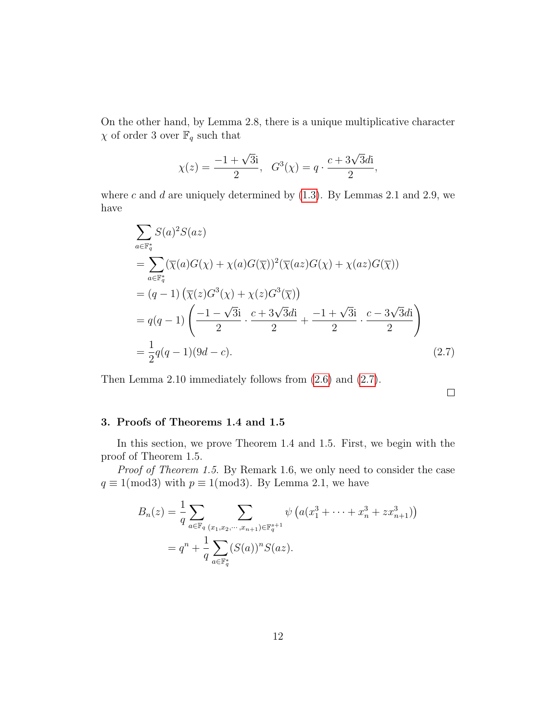On the other hand, by Lemma 2.8, there is a unique multiplicative character  $\chi$  of order 3 over  $\mathbb{F}_q$  such that

$$
\chi(z) = \frac{-1 + \sqrt{3}i}{2}
$$
,  $G^3(\chi) = q \cdot \frac{c + 3\sqrt{3}di}{2}$ ,

where  $c$  and  $d$  are uniquely determined by  $(1.3)$ . By Lemmas 2.1 and 2.9, we have

$$
\sum_{a \in \mathbb{F}_q^*} S(a)^2 S(az)
$$
\n
$$
= \sum_{a \in \mathbb{F}_q^*} (\overline{\chi}(a)G(\chi) + \chi(a)G(\overline{\chi}))^2 (\overline{\chi}(az)G(\chi) + \chi(az)G(\overline{\chi}))
$$
\n
$$
= (q-1) (\overline{\chi}(z)G^3(\chi) + \chi(z)G^3(\overline{\chi}))
$$
\n
$$
= q(q-1) \left( \frac{-1 - \sqrt{3}i}{2} \cdot \frac{c + 3\sqrt{3}di}{2} + \frac{-1 + \sqrt{3}i}{2} \cdot \frac{c - 3\sqrt{3}di}{2} \right)
$$
\n
$$
= \frac{1}{2}q(q-1)(9d-c).
$$
\n(2.7)

Then Lemma 2.10 immediately follows from [\(2.6\)](#page-10-0) and [\(2.7\)](#page-11-0).

<span id="page-11-0"></span> $\Box$ 

## 3. Proofs of Theorems 1.4 and 1.5

In this section, we prove Theorem 1.4 and 1.5. First, we begin with the proof of Theorem 1.5.

Proof of Theorem 1.5. By Remark 1.6, we only need to consider the case  $q \equiv 1 \pmod{3}$  with  $p \equiv 1 \pmod{3}$ . By Lemma 2.1, we have

$$
B_n(z) = \frac{1}{q} \sum_{a \in \mathbb{F}_q} \sum_{(x_1, x_2, \dots, x_{n+1}) \in \mathbb{F}_q^{s+1}} \psi\left(a(x_1^3 + \dots + x_n^3 + zx_{n+1}^3)\right)
$$
  
=  $q^n + \frac{1}{q} \sum_{a \in \mathbb{F}_q^*} (S(a))^n S(az).$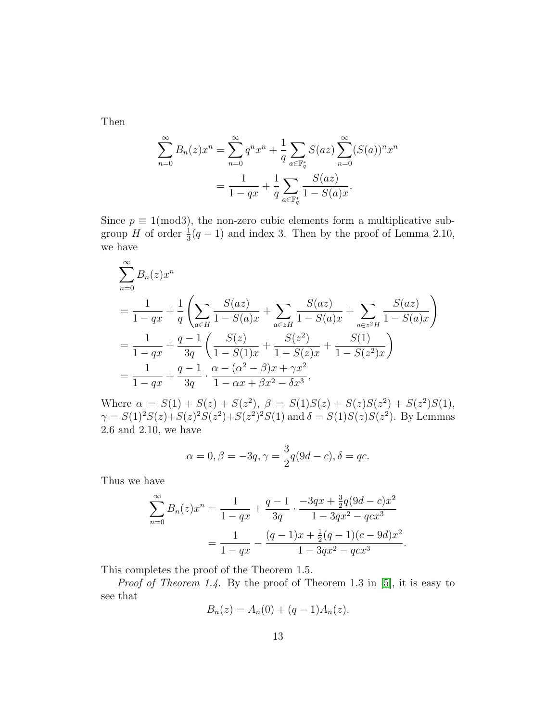Then

$$
\sum_{n=0}^{\infty} B_n(z) x^n = \sum_{n=0}^{\infty} q^n x^n + \frac{1}{q} \sum_{a \in \mathbb{F}_q^*} S(az) \sum_{n=0}^{\infty} (S(a))^n x^n
$$

$$
= \frac{1}{1 - qx} + \frac{1}{q} \sum_{a \in \mathbb{F}_q^*} \frac{S(az)}{1 - S(a)x}.
$$

Since  $p \equiv 1 \pmod{3}$ , the non-zero cubic elements form a multiplicative subgroup H of order  $\frac{1}{3}(q-1)$  and index 3. Then by the proof of Lemma 2.10, we have

$$
\sum_{n=0}^{\infty} B_n(z) x^n
$$
\n
$$
= \frac{1}{1-qx} + \frac{1}{q} \left( \sum_{a \in H} \frac{S(a z)}{1 - S(a) x} + \sum_{a \in zH} \frac{S(a z)}{1 - S(a) x} + \sum_{a \in zH} \frac{S(a z)}{1 - S(a) x} \right)
$$
\n
$$
= \frac{1}{1-qx} + \frac{q-1}{3q} \left( \frac{S(z)}{1 - S(1)x} + \frac{S(z^2)}{1 - S(z)x} + \frac{S(1)}{1 - S(z^2)x} \right)
$$
\n
$$
= \frac{1}{1-qx} + \frac{q-1}{3q} \cdot \frac{\alpha - (\alpha^2 - \beta)x + \gamma x^2}{1 - \alpha x + \beta x^2 - \delta x^3},
$$

Where  $\alpha = S(1) + S(z) + S(z^2)$ ,  $\beta = S(1)S(z) + S(z)S(z^2) + S(z^2)S(1)$ ,  $\gamma = S(1)^2 S(z) + S(z)^2 S(z^2) + S(z^2)^2 S(1)$  and  $\delta = S(1) S(z) S(z^2)$ . By Lemmas 2.6 and 2.10, we have

$$
\alpha = 0, \beta = -3q, \gamma = \frac{3}{2}q(9d - c), \delta = qc.
$$

Thus we have

$$
\sum_{n=0}^{\infty} B_n(z)x^n = \frac{1}{1-qx} + \frac{q-1}{3q} \cdot \frac{-3qx + \frac{3}{2}q(9d-c)x^2}{1-3qx^2-qcx^3}
$$

$$
= \frac{1}{1-qx} - \frac{(q-1)x + \frac{1}{2}(q-1)(c-9d)x^2}{1-3qx^2-qcx^3}.
$$

This completes the proof of the Theorem 1.5.

Proof of Theorem 1.4. By the proof of Theorem 1.3 in [\[5\]](#page-17-6), it is easy to see that

$$
B_n(z) = A_n(0) + (q-1)A_n(z).
$$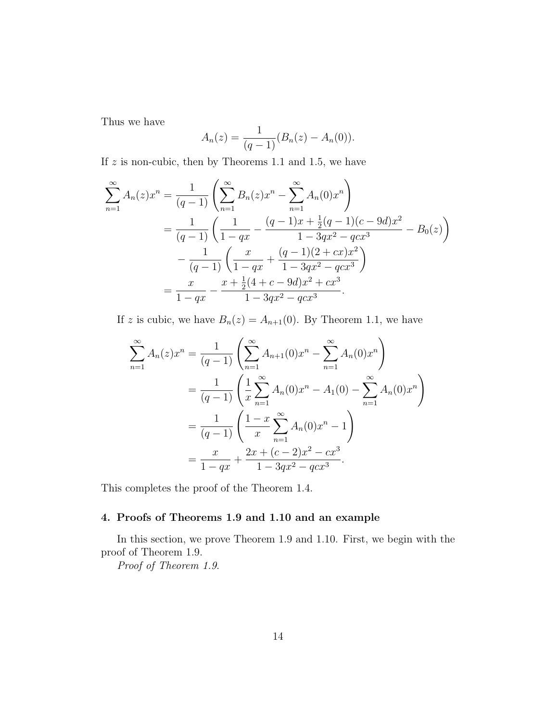Thus we have

$$
A_n(z) = \frac{1}{(q-1)} (B_n(z) - A_n(0)).
$$

If  $z$  is non-cubic, then by Theorems 1.1 and 1.5, we have

$$
\sum_{n=1}^{\infty} A_n(z) x^n = \frac{1}{(q-1)} \left( \sum_{n=1}^{\infty} B_n(z) x^n - \sum_{n=1}^{\infty} A_n(0) x^n \right)
$$
  
= 
$$
\frac{1}{(q-1)} \left( \frac{1}{1-qx} - \frac{(q-1)x + \frac{1}{2}(q-1)(c-9d)x^2}{1-3qx^2-qcx^3} - B_0(z) \right)
$$
  
- 
$$
\frac{1}{(q-1)} \left( \frac{x}{1-qx} + \frac{(q-1)(2+cx)x^2}{1-3qx^2-qcx^3} \right)
$$
  
= 
$$
\frac{x}{1-qx} - \frac{x + \frac{1}{2}(4+c-9d)x^2+cx^3}{1-3qx^2-qcx^3}.
$$

If z is cubic, we have  $B_n(z) = A_{n+1}(0)$ . By Theorem 1.1, we have

$$
\sum_{n=1}^{\infty} A_n(z) x^n = \frac{1}{(q-1)} \left( \sum_{n=1}^{\infty} A_{n+1}(0) x^n - \sum_{n=1}^{\infty} A_n(0) x^n \right)
$$
  
= 
$$
\frac{1}{(q-1)} \left( \frac{1}{x} \sum_{n=1}^{\infty} A_n(0) x^n - A_1(0) - \sum_{n=1}^{\infty} A_n(0) x^n \right)
$$
  
= 
$$
\frac{1}{(q-1)} \left( \frac{1-x}{x} \sum_{n=1}^{\infty} A_n(0) x^n - 1 \right)
$$
  
= 
$$
\frac{x}{1-qx} + \frac{2x + (c-2)x^2 - cx^3}{1 - 3qx^2 - qcx^3}.
$$

This completes the proof of the Theorem 1.4.

# 4. Proofs of Theorems 1.9 and 1.10 and an example

In this section, we prove Theorem 1.9 and 1.10. First, we begin with the proof of Theorem 1.9.

Proof of Theorem 1.9.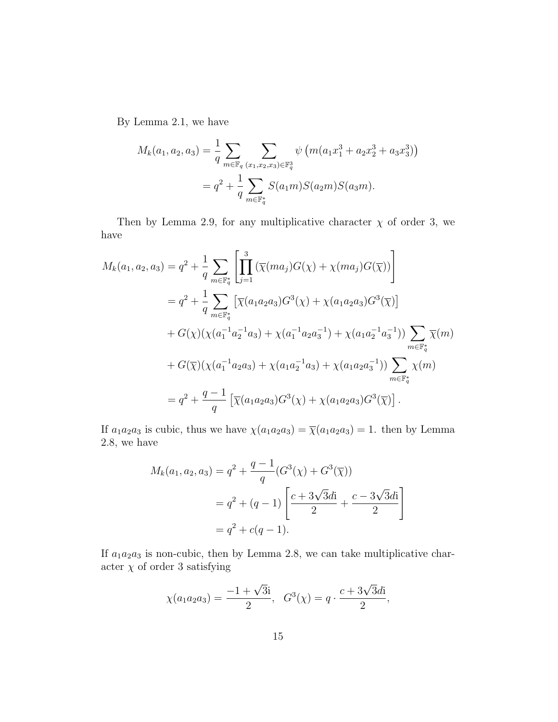By Lemma 2.1, we have

$$
M_k(a_1, a_2, a_3) = \frac{1}{q} \sum_{m \in \mathbb{F}_q} \sum_{(x_1, x_2, x_3) \in \mathbb{F}_q^3} \psi \left( m(a_1 x_1^3 + a_2 x_2^3 + a_3 x_3^3) \right)
$$
  
=  $q^2 + \frac{1}{q} \sum_{m \in \mathbb{F}_q^*} S(a_1 m) S(a_2 m) S(a_3 m).$ 

Then by Lemma 2.9, for any multiplicative character  $\chi$  of order 3, we have

$$
M_k(a_1, a_2, a_3) = q^2 + \frac{1}{q} \sum_{m \in \mathbb{F}_q^*} \left[ \prod_{j=1}^3 (\overline{\chi}(ma_j)G(\chi) + \chi(ma_j)G(\overline{\chi})) \right]
$$
  
\n
$$
= q^2 + \frac{1}{q} \sum_{m \in \mathbb{F}_q^*} \left[ \overline{\chi}(a_1a_2a_3)G^3(\chi) + \chi(a_1a_2a_3)G^3(\overline{\chi}) \right]
$$
  
\n
$$
+ G(\chi)(\chi(a_1^{-1}a_2^{-1}a_3) + \chi(a_1^{-1}a_2a_3^{-1}) + \chi(a_1a_2^{-1}a_3^{-1})) \sum_{m \in \mathbb{F}_q^*} \overline{\chi}(m)
$$
  
\n
$$
+ G(\overline{\chi})(\chi(a_1^{-1}a_2a_3) + \chi(a_1a_2^{-1}a_3) + \chi(a_1a_2a_3^{-1})) \sum_{m \in \mathbb{F}_q^*} \chi(m)
$$
  
\n
$$
= q^2 + \frac{q-1}{q} \left[ \overline{\chi}(a_1a_2a_3)G^3(\chi) + \chi(a_1a_2a_3)G^3(\overline{\chi}) \right].
$$

If  $a_1a_2a_3$  is cubic, thus we have  $\chi(a_1a_2a_3) = \overline{\chi}(a_1a_2a_3) = 1$ . then by Lemma 2.8, we have

$$
M_k(a_1, a_2, a_3) = q^2 + \frac{q-1}{q} (G^3(\chi) + G^3(\overline{\chi}))
$$
  
=  $q^2 + (q-1) \left[ \frac{c+3\sqrt{3}di}{2} + \frac{c-3\sqrt{3}di}{2} \right]$   
=  $q^2 + c(q-1)$ .

If  $a_1a_2a_3$  is non-cubic, then by Lemma 2.8, we can take multiplicative character $\chi$  of order 3 satisfying

$$
\chi(a_1a_2a_3) = \frac{-1 + \sqrt{3}i}{2}
$$
,  $G^3(\chi) = q \cdot \frac{c + 3\sqrt{3}di}{2}$ ,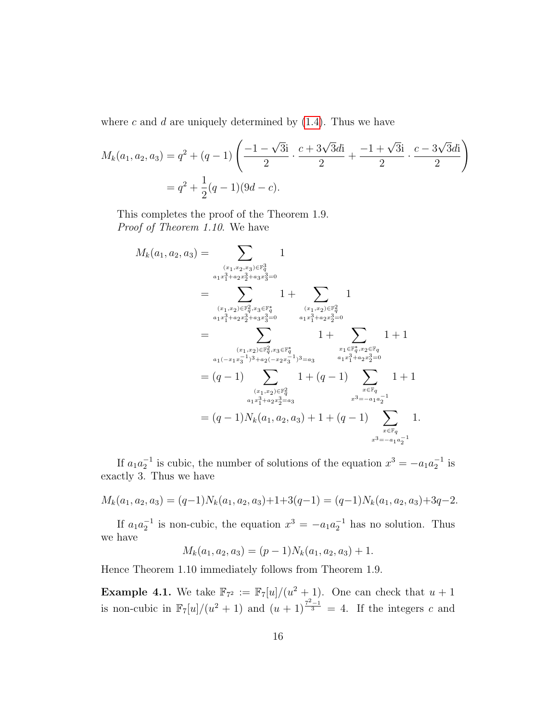where c and d are uniquely determined by  $(1.4)$ . Thus we have

$$
M_k(a_1, a_2, a_3) = q^2 + (q - 1) \left( \frac{-1 - \sqrt{3}i}{2} \cdot \frac{c + 3\sqrt{3}di}{2} + \frac{-1 + \sqrt{3}i}{2} \cdot \frac{c - 3\sqrt{3}di}{2} \right)
$$
  
=  $q^2 + \frac{1}{2}(q - 1)(9d - c).$ 

This completes the proof of the Theorem 1.9. Proof of Theorem 1.10. We have

$$
M_k(a_1, a_2, a_3) = \sum_{\substack{(x_1, x_2, x_3) \in \mathbb{F}_q^3 \ a_1 x_1^3 + a_2 x_2^3 + a_3 x_3^3 = 0}} 1
$$
  
\n
$$
= \sum_{\substack{(x_1, x_2) \in \mathbb{F}_q^2, x_3 \in \mathbb{F}_q^* \ a_1 x_1^3 + a_2 x_2^3 + a_3 x_3^3 = 0}} 1 + \sum_{\substack{(x_1, x_2) \in \mathbb{F}_q^2, x_3 \in \mathbb{F}_q^* \ a_1 x_1^3 + a_2 x_2^3 = 0}} 1 + \sum_{\substack{(x_1, x_2) \in \mathbb{F}_q^2, x_3 \in \mathbb{F}_q^* \ a_1 (-(x_1 x_3^{-1})^3 + a_2 (-x_2 x_3^{-1})^3 = a_3}} 1 + \sum_{\substack{x_1 \in \mathbb{F}_q^*, x_2 \in \mathbb{F}_q \ a_1 x_1^3 + a_2 x_2^3 = 0}} 1 + 1
$$
  
\n
$$
= (q - 1) \sum_{\substack{(x_1, x_2) \in \mathbb{F}_q^2 \ a_1 x_1^3 + a_2 x_2^3 = a_3}} 1 + (q - 1) \sum_{\substack{x \in \mathbb{F}_q \ a_1 x_1^3 + a_2 x_2^3 = a_3}} 1 + 1
$$
  
\n
$$
= (q - 1) N_k(a_1, a_2, a_3) + 1 + (q - 1) \sum_{\substack{x \in \mathbb{F}_q \ a_2 = -a_1 a_2^{-1}}} 1.
$$

If  $a_1 a_2^{-1}$  is cubic, the number of solutions of the equation  $x^3 = -a_1 a_2^{-1}$  is exactly 3. Thus we have

 $M_k(a_1, a_2, a_3) = (q-1)N_k(a_1, a_2, a_3)+1+3(q-1) = (q-1)N_k(a_1, a_2, a_3)+3q-2.$ 

If  $a_1 a_2^{-1}$  is non-cubic, the equation  $x^3 = -a_1 a_2^{-1}$  has no solution. Thus we have

 $M_k(a_1, a_2, a_3) = (p-1)N_k(a_1, a_2, a_3) + 1.$ 

Hence Theorem 1.10 immediately follows from Theorem 1.9.

**Example 4.1.** We take  $\mathbb{F}_{7^2} := \mathbb{F}_7[u]/(u^2 + 1)$ . One can check that  $u + 1$ is non-cubic in  $\mathbb{F}_7[u]/(u^2+1)$  and  $(u+1)^{\frac{7^2-1}{3}}=4$ . If the integers c and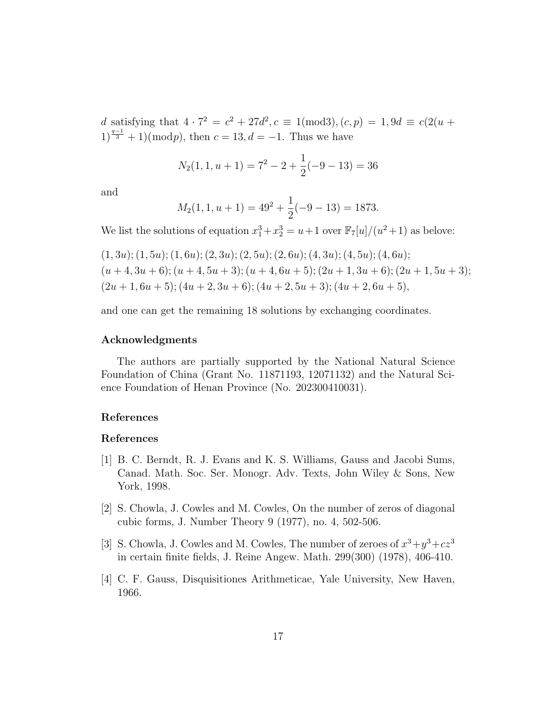d satisfying that  $4 \cdot 7^2 = c^2 + 27d^2, c \equiv 1 \pmod{3}, (c, p) = 1, 9d \equiv c(2(u + p))$  $1)^{\frac{q-1}{3}} + 1 \, (mod p), \text{ then } c = 13, d = -1.$  Thus we have

$$
N_2(1, 1, u+1) = 7^2 - 2 + \frac{1}{2}(-9 - 13) = 36
$$

and

$$
M_2(1, 1, u+1) = 49^2 + \frac{1}{2}(-9 - 13) = 1873.
$$

We list the solutions of equation  $x_1^3 + x_2^3 = u + 1$  over  $\mathbb{F}_7[u]/(u^2 + 1)$  as belove:

$$
(1,3u); (1,5u); (1,6u); (2,3u); (2,5u); (2,6u); (4,3u); (4,5u); (4,6u);(u+4,3u+6); (u+4,5u+3); (u+4,6u+5); (2u+1,3u+6); (2u+1,5u+3);(2u+1,6u+5); (4u+2,3u+6); (4u+2,5u+3); (4u+2,6u+5),
$$

and one can get the remaining 18 solutions by exchanging coordinates.

### Acknowledgments

The authors are partially supported by the National Natural Science Foundation of China (Grant No. 11871193, 12071132) and the Natural Science Foundation of Henan Province (No. 202300410031).

# References

## References

- <span id="page-16-3"></span>[1] B. C. Berndt, R. J. Evans and K. S. Williams, Gauss and Jacobi Sums, Canad. Math. Soc. Ser. Monogr. Adv. Texts, John Wiley & Sons, New York, 1998.
- <span id="page-16-0"></span>[2] S. Chowla, J. Cowles and M. Cowles, On the number of zeros of diagonal cubic forms, J. Number Theory 9 (1977), no. 4, 502-506.
- <span id="page-16-1"></span>[3] S. Chowla, J. Cowles and M. Cowles, The number of zeroes of  $x^3 + y^3 + cz^3$ in certain finite fields, J. Reine Angew. Math. 299(300) (1978), 406-410.
- <span id="page-16-2"></span>[4] C. F. Gauss, Disquisitiones Arithmeticae, Yale University, New Haven, 1966.